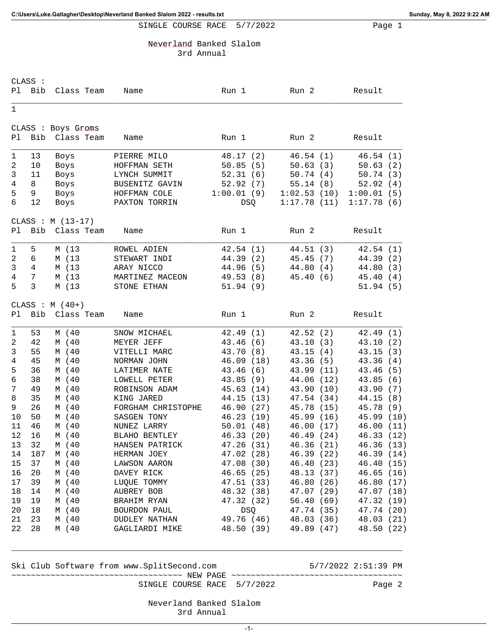SINGLE COURSE RACE 5/7/2022 Page 1

Neverland Banked Slalom

3rd Annual

|                | CLASS :        |                    |                    |            |             |            |
|----------------|----------------|--------------------|--------------------|------------|-------------|------------|
| Pl             | Bib            | Class Team         | Name               | Run 1      | Run 2       | Result     |
| $\mathbf{1}$   |                |                    |                    |            |             |            |
|                |                | CLASS : Boys Groms |                    |            |             |            |
| P1             | Bib            | Class Team         | Name               | Run 1      | Run 2       | Result     |
| 1              | 13             | Boys               | PIERRE MILO        | 48.17 (2)  | 46.54(1)    | 46.54(1)   |
| $\sqrt{2}$     | 10             | Boys               | HOFFMAN SETH       | 50.85(5)   | 50.63(3)    | 50.63(2)   |
| 3              | 11             | Boys               | LYNCH SUMMIT       | 52.31(6)   | 50.74(4)    | 50.74(3)   |
| 4              | 8              | Boys               | BUSENITZ GAVIN     | 52.92(7)   | 55.14(8)    | 52.92(4)   |
| 5              | 9              | Boys               | HOFFMAN COLE       | 1:00.01(9) | 1:02.53(10) | 1:00.01(5) |
| 6              | 12             | Boys               | PAXTON TORRIN      | DSQ        | 1:17.78(11) | 1:17.78(6) |
|                |                | CLASS : $M(13-17)$ |                    |            |             |            |
| Pl             | <b>Bib</b>     | Class Team         | Name               | Run 1      | Run 2       | Result     |
| 1              | 5              | M (13              | ROWEL ADIEN        | 42.54(1)   | 44.51(3)    | 42.54(1)   |
| $\overline{a}$ | 6              | M (13              | STEWART INDI       | 44.39(2)   | 45.45(7)    | 44.39 (2)  |
| 3              | $\overline{4}$ | M (13              | ARAY NICCO         | 44.96 (5)  | 44.80(4)    | 44.80 (3)  |
| $\overline{4}$ | 7              | M (13              | MARTINEZ MACEON    | 49.53 (8)  | 45.40(6)    | 45.40(4)   |
| 5              | 3              | M (13              | STONE ETHAN        | 51.94(9)   |             | 51.94(5)   |
|                |                | CLASS : $M(40+)$   |                    |            |             |            |
| Pl             | <b>Bib</b>     | Class Team         | Name               | Run 1      | Run 2       | Result     |
|                |                |                    |                    |            |             |            |
| 1              | 53             | M (40              | SNOW MICHAEL       | 42.49(1)   | 42.52(2)    | 42.49(1)   |
| $\overline{2}$ | 42             | M (40              | MEYER JEFF         | 43.46 (6)  | 43.10(3)    | 43.10 (2)  |
| 3              | 55             | M (40              | VITELLI MARC       | 43.70 (8)  | 43.15(4)    | 43.15(3)   |
| 4              | 45             | M (40              | NORMAN JOHN        | 46.09(18)  | 43.36(5)    | 43.36(4)   |
| 5              | 36             | M (40              | LATIMER NATE       | 43.46(6)   | 43.99 (11)  | 43.46 (5)  |
| 6              | 38             | M (40              | LOWELL PETER       | 43.85(9)   | 44.06 (12)  | 43.85(6)   |
| 7              | 49             | M (40              | ROBINSON ADAM      | 45.63 (14) | 43.90 (10)  | 43.90 (7)  |
| 8              | 35             | M (40              | KING JARED         | 44.15 (13) | 47.54 (34)  | 44.15 (8)  |
| 9              | 26             | M (40              | FORGHAM CHRISTOPHE | 46.90 (27) | 45.78 (15)  | 45.78 (9)  |
| 10             | 50             | M (40              | SASGEN TONY        | 46.23 (19) | 45.99 (16)  | 45.99 (10) |
| 11             | 46             | M (40              | NUNEZ LARRY        | 50.01(48)  | 46.00 (17)  | 46.00 (11) |
| 12             | 16             | M (40              | BLAHO BENTLEY      | 46.33 (20) | 46.49 (24)  | 46.33 (12) |
| 13             | 32             | M (40              | HANSEN PATRICK     | 47.26 (31) | 46.36(21)   | 46.36(13)  |
| 14             | 187            | M (40              | HERMAN JOEY        | 47.02 (28) | 46.39 (22)  | 46.39 (14) |
| 15             | 37             | M (40              | LAWSON AARON       | 47.08 (30) | 46.40 (23)  | 46.40 (15) |
| 16             | 20             | M (40              | DAVEY RICK         | 46.65 (25) | 48.13 (37)  | 46.65 (16) |
| 17             | 39             | M (40              | LUOUE TOMMY        | 47.51 (33) | 46.80 (26)  | 46.80 (17) |
| 18             | 14             | M (40              | AUBREY BOB         | 48.32 (38) | 47.07 (29)  | 47.07 (18) |
| 19             | 19             | M (40              | BRAHIM RYAN        | 47.32 (32) | 56.40(69)   | 47.32 (19) |
| 20             | 18             | M (40              | BOURDON PAUL       | DSQ        | 47.74 (35)  | 47.74 (20) |
| 21             | 23             | M (40              | DUDLEY NATHAN      | 49.76 (46) | 48.03 (36)  | 48.03 (21) |
| 22             | 28             |                    | GAGLIARDI MIKE     | 48.50 (39) | 49.89 (47)  | 48.50 (22) |
|                |                | M (40              |                    |            |             |            |

Ski Club Software from www.SplitSecond.com 5/7/2022 2:51:39 PM

~~~~~~~~~~~~~~~~~~~~~~~~~~~~~~~~~~~ NEW PAGE ~~~~~~~~~~~~~~~~~~~~~~~~~~~~~~~~~~~ SINGLE COURSE RACE 5/7/2022 Page 2

\_\_\_\_\_\_\_\_\_\_\_\_\_\_\_\_\_\_\_\_\_\_\_\_\_\_\_\_\_\_\_\_\_\_\_\_\_\_\_\_\_\_\_\_\_\_\_\_\_\_\_\_\_\_\_\_\_\_\_\_\_\_\_\_\_\_\_\_\_\_\_\_\_\_\_\_\_\_\_\_

 Neverland Banked Slalom 3rd Annual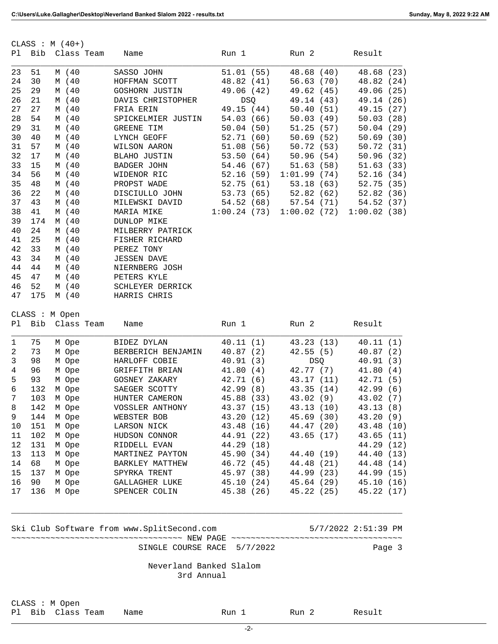| Pl           |                                       | CLASS : $M(40+)$<br>Bib Class Team | Name                                       | Run 1                         | Run 2      | Result                                 |  |  |
|--------------|---------------------------------------|------------------------------------|--------------------------------------------|-------------------------------|------------|----------------------------------------|--|--|
|              |                                       |                                    |                                            |                               |            |                                        |  |  |
| 23           | 51                                    | M (40                              | SASSO JOHN                                 | 51.01(55)                     | 48.68 (40) | 48.68 (23)                             |  |  |
| 24           | 30                                    | M (40                              | HOFFMAN SCOTT                              | 48.82 (41)                    | 56.63(70)  | 48.82 (24)                             |  |  |
| 25           | 29                                    | M (40                              | GOSHORN JUSTIN                             | 49.06 (42)                    | 49.62 (45) | 49.06 (25)                             |  |  |
| 26           | 21                                    | M (40                              | DAVIS CHRISTOPHER                          | DSQ                           | 49.14 (43) | 49.14 (26)                             |  |  |
| 27           | 27                                    | M (40                              | FRIA ERIN                                  | 49.15 (44)                    | 50.40(51)  | 49.15 (27)                             |  |  |
| 28           | 54                                    | M (40                              | SPICKELMIER JUSTIN                         | 54.03 (66)                    |            | 50.03 (49)<br>50.03(28)                |  |  |
| 29           | 31                                    | M (40                              | GREENE TIM                                 | 50.04(50)                     |            | 51.25 (57)<br>50.04(29)                |  |  |
| 30           | 40                                    | M (40                              | LYNCH GEOFF                                | 52.71 (60)                    |            | 50.69 (52)<br>50.69(30)                |  |  |
| 31           | 57                                    | M (40                              | WILSON AARON                               | 51.08(56)                     | 50.72(53)  | 50.72 (31)                             |  |  |
| 32           | 17                                    | M (40                              | BLAHO JUSTIN                               | 53.50(64)                     | 50.96(54)  | 50.96 (32)                             |  |  |
| 33           | 15                                    | M (40                              | BADGER JOHN                                | 54.46 (67)                    | 51.63(58)  | 51.63 (33)                             |  |  |
| 34           | 56                                    | M (40                              | WIDENOR RIC                                | 52.16 (59) 1:01.99 (74)       |            | 52.16 (34)                             |  |  |
| 35           | 48                                    | M (40                              | PROPST WADE                                | 52.75 (61)                    |            | 53.18 (63)<br>52.82 (62)<br>52.75 (35) |  |  |
| 36           | 22                                    | M (40                              | DISCIULLO JOHN                             | 53.73(65)                     |            | 52.82 (36)                             |  |  |
| 37           | 43                                    | M (40                              | MILEWSKI DAVID                             | 54.52(68)                     |            | 57.54(71)<br>54.52 (37)                |  |  |
| 38           | 41                                    | M (40                              | MARIA MIKE                                 | $1:00.24$ (73) $1:00.02$ (72) |            | 1:00.02(38)                            |  |  |
| 39           | 174                                   | M (40                              | <b>DUNLOP MIKE</b>                         |                               |            |                                        |  |  |
| 40           | 24                                    | M (40                              | MILBERRY PATRICK                           |                               |            |                                        |  |  |
| 41           | 25                                    | M (40                              | FISHER RICHARD                             |                               |            |                                        |  |  |
| 42           | 33                                    | M (40                              | PEREZ TONY                                 |                               |            |                                        |  |  |
| 43           | 34                                    | M (40                              | <b>JESSEN DAVE</b>                         |                               |            |                                        |  |  |
| 44           | 44                                    | M (40                              | NIERNBERG JOSH                             |                               |            |                                        |  |  |
| 45           | 47                                    | M (40                              | PETERS KYLE                                |                               |            |                                        |  |  |
| 46<br>47     | 52<br>175                             | M (40                              | SCHLEYER DERRICK                           |                               |            |                                        |  |  |
|              |                                       | M (40                              | HARRIS CHRIS                               |                               |            |                                        |  |  |
|              |                                       | CLASS : M Open                     |                                            |                               |            |                                        |  |  |
| Pl.          | Bib                                   | Class Team                         | Name                                       | Run 1                         | Run 2      | Result                                 |  |  |
| 1            | 75                                    | M Ope                              | BIDEZ DYLAN                                | 40.11(1)                      | 43.23 (13) | 40.11(1)                               |  |  |
| 2            | 73                                    | M Ope                              | BERBERICH BENJAMIN                         | 40.87(2)                      | 42.55(5)   | 40.87(2)                               |  |  |
| $\mathbf{3}$ | 98                                    | M Ope                              | HARLOFF COBIE                              | 40.91(3)                      | <b>DSO</b> | 40.91(3)                               |  |  |
| 4            | 96                                    | M Ope                              | GRIFFITH BRIAN                             | 41.80(4)                      | 42.77 (7)  | 41.80(4)                               |  |  |
| 5            | 93                                    | M Ope                              | GOSNEY ZAKARY                              | 42.71(6)                      | 43.17 (11) | 42.71 (5)                              |  |  |
| $\epsilon$   | 132                                   | M Ope                              | SAEGER SCOTTY                              | 42.99(8)                      | 43.35(14)  | 42.99(6)                               |  |  |
| 7            | 103                                   | M Ope                              | HUNTER CAMERON                             | 45.88 (33)                    | 43.02(9)   | 43.02 (7)                              |  |  |
| 8            | 142                                   | M Ope                              | VOSSLER ANTHONY                            | 43.37 (15)                    | 43.13 (10) | 43.13 (8)                              |  |  |
| 9            | 144                                   | M Ope                              | WEBSTER BOB                                | 43.20 (12)                    | 45.69(30)  | 43.20 (9)                              |  |  |
| 10           | 151                                   | M Ope                              | LARSON NICK                                | 43.48 (16)                    |            | 44.47 (20)<br>43.48 (10)               |  |  |
| 11           | 102                                   | M Ope                              | HUDSON CONNOR                              | 44.91 (22)                    |            | 43.65 (17)<br>43.65 (11)               |  |  |
| 12           | 131                                   | M Ope                              | RIDDELL EVAN                               | 44.29 (18)                    |            | 44.29 (12)                             |  |  |
| 13           | 113                                   | M Ope                              | MARTINEZ PAYTON                            | 45.90 (34)                    | 44.40 (19) | 44.40 (13)                             |  |  |
| 14           | 68                                    | M Ope                              | BARKLEY MATTHEW                            | 46.72 (45) 44.48 (21)         |            | 44.48 (14)                             |  |  |
| 15           | 137                                   | M Ope                              | SPYRKA TRENT                               | 45.97 (38)                    | 44.99 (23) | 44.99 (15)                             |  |  |
| 16           | 90                                    | M Ope                              | GALLAGHER LUKE                             | 45.10 (24)                    | 45.64 (29) | 45.10(16)                              |  |  |
| 17           | 136                                   | M Ope                              | SPENCER COLIN                              | 45.38 (26) 45.22 (25)         |            | 45.22 (17)                             |  |  |
|              |                                       |                                    | Ski Club Software from www.SplitSecond.com |                               |            | 5/7/2022 2:51:39 PM                    |  |  |
|              |                                       |                                    |                                            |                               |            |                                        |  |  |
|              |                                       |                                    | SINGLE COURSE RACE 5/7/2022                |                               |            | Page 3                                 |  |  |
|              | Neverland Banked Slalom<br>3rd Annual |                                    |                                            |                               |            |                                        |  |  |

CLASS : M Open Pl Bib Class Team Name Run 1 Run 2 Result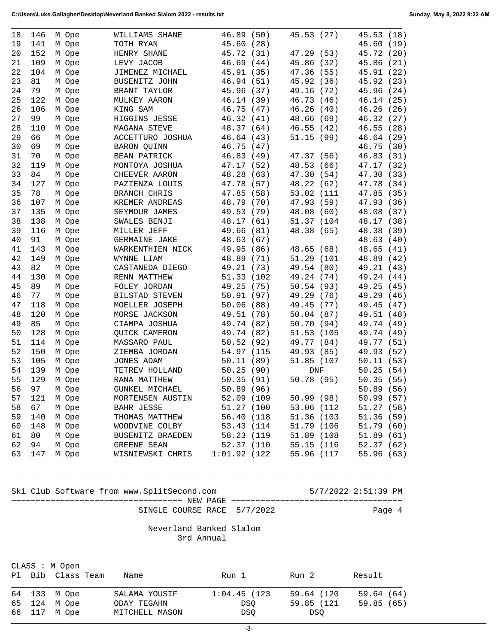| 18 | 146 | M Ope | WILLIAMS SHANE      | 46.89 (50)   | 45.53 (27)    | 45.53 (18)    |
|----|-----|-------|---------------------|--------------|---------------|---------------|
| 19 | 141 | M Ope | TOTH RYAN           | 45.60 (28)   |               | 45.60 (19)    |
| 20 | 152 | M Ope | HENRY SHANE         | 45.72 (31)   | 47.29 (53)    | 45.72 (20)    |
| 21 | 109 | M Ope | LEVY JACOB          | 46.69(44)    | 45.86 (32)    | 45.86 (21)    |
| 22 | 104 | M Ope | JIMENEZ MICHAEL     | 45.91 (35)   | 47.36 (55)    | 45.91<br>(22) |
| 23 | 81  | M Ope | BUSENITZ JOHN       | 46.94 (51)   | 45.92 (36)    | 45.92<br>(23) |
| 24 | 79  | M Ope | BRANT TAYLOR        | 45.96 (37)   | 49.16 (72)    | 45.96<br>(24) |
| 25 | 122 | M Ope | MULKEY AARON        | 46.14 (39)   | 46.73 (46)    | 46.14(25)     |
| 26 | 106 | M Ope | KING SAM            | 46.75 (47)   | 46.26<br>(40) | 46.26 (26)    |
| 27 | 99  | M Ope | HIGGINS JESSE       | 46.32(41)    | 48.66 (69)    | 46.32 (27)    |
| 28 | 110 | M Ope | MAGANA STEVE        | 48.37 (64)   | 46.55(42)     | 46.55 (28)    |
| 29 | 66  | M Ope | ACCETTURO JOSHUA    | 46.64(43)    | 51.15(99)     | 46.64 (29)    |
| 30 | 69  | M Ope | <b>BARON QUINN</b>  | 46.75 (47)   |               | 46.75 (30)    |
| 31 | 70  | M Ope | BEAN PATRICK        | 46.83(49)    | 47.37 (56)    | 46.83 (31)    |
| 32 | 119 | M Ope | MONTOYA JOSHUA      | 47.17 (52)   | 48.53 (66)    | 47.17 (32)    |
| 33 | 84  | M Ope | CHEEVER AARON       | 48.28 (63)   | 47.30 (54)    | 47.30 (33)    |
| 34 | 127 | M Ope | PAZIENZA LOUIS      | 47.78 (57)   | 48.22 (62)    | 47.78 (34)    |
| 35 | 78  | M Ope | <b>BRANCH CHRIS</b> | 47.85 (58)   | 53.02 (111    | 47.85 (35)    |
| 36 | 107 | M Ope | KREMER ANDREAS      | 48.79 (70)   | 47.93 (59)    | 47.93 (36)    |
| 37 | 135 | M Ope | SEYMOUR JAMES       | 49.53 (79)   | 48.08 (60)    | 48.08 (37)    |
| 38 | 138 | M Ope | SWALES BENJI        | 48.17 (61)   | 51.37 (104    | 48.17 (38)    |
| 39 | 116 | M Ope | MILLER JEFF         | 49.66 (81)   | 48.38 (65)    | 48.38 (39)    |
| 40 | 91  | M Ope | GERMAINE JAKE       | 48.63 (67)   |               | 48.63 (40)    |
| 41 | 143 | M Ope | WARKENTHIEN NICK    | 49.95 (86)   | 48.65 (68)    | 48.65 (41)    |
| 42 | 149 | M Ope | WYNNE LIAM          | 48.89 (71)   | 51.29 (101    | 48.89 (42)    |
| 43 | 82  | M Ope | CASTANEDA DIEGO     | 49.21 (73)   | 49.54 (80)    | 49.21 (43)    |
| 44 | 130 | M Ope | RENN MATTHEW        | 51.33 (102   | 49.24 (74)    | 49.24<br>(44) |
| 45 | 89  | M Ope | FOLEY JORDAN        | 49.25 (75)   | 50.54 (93)    | 49.25<br>(45) |
| 46 | 77  | M Ope | BILSTAD STEVEN      | 50.91(97)    | 49.29 (76)    | 49.29<br>(46) |
| 47 | 118 | M Ope | MOELLER JOSEPH      | 50.06(88)    | 49.45 (77)    | 49.45<br>(47) |
| 48 | 120 | M Ope | MORSE JACKSON       | 49.51 (78)   | 50.04(87)     | 49.51 (48)    |
| 49 | 85  | M Ope | CIAMPA JOSHUA       | 49.74 (82)   | 50.70 (94)    | 49.74 (49)    |
| 50 | 128 | M Ope | QUICK CAMERON       | 49.74 (82)   | 51.53 (105    | 49.74 (49)    |
| 51 | 114 | M Ope | MASSARO PAUL        | 50.52 (92)   | 49.77 (84)    | 49.77 (51)    |
| 52 | 150 | M Ope | ZIEMBA JORDAN       | 54.97 (115   | 49.93 (85)    | 49.93 (52)    |
| 53 | 105 | M Ope | JONES ADAM          | 50.11(89)    | 51.85 (107    | 50.11(53)     |
| 54 | 139 | M Ope | TETREV HOLLAND      | 50.25(90)    | DNF           | 50.25(54)     |
| 55 | 129 | M Ope | RANA MATTHEW        | 50.35(91)    | 50.78 (95)    | 50.35(55)     |
| 56 | 97  | M Ope | GUNKEL MICHAEL      | 50.89 (96)   |               | 50.89 (56)    |
| 57 | 121 | M Ope | MORTENSEN AUSTIN    | 52.09 (109   | 50.99(98)     | 50.99(57)     |
| 58 | 67  | M Ope | BAHR JESSE          | 51.27 (100   | 53.06 (112    | 51.27(58)     |
| 59 | 140 | M Ope | THOMAS MATTHEW      | 56.40 (118   | 51.36 (103    | 51.36(59)     |
| 60 | 148 | M Ope | WOODVINE COLBY      | 53.43 (114   | 51.79 (106    | 51.79 (60)    |
| 61 | 80  | M Ope | BUSENITZ BRAEDEN    | 58.23 (119   | 51.89 (108    | 51.89(61)     |
| 62 | 94  | M Ope | <b>GREENE SEAN</b>  | 52.37 (110   | 55.15 (116    | 52.37 (62)    |
| 63 | 147 | M Ope | WISNIEWSKI CHRIS    | 1:01.92(122) | 55.96 (117    | 55.96 (63)    |
|    |     |       |                     |              |               |               |

Ski Club Software from www.SplitSecond.com 5/7/2022 2:51:39 PM

~~~~~~~~~~~~~~~~~~~~~~~~~~~~~~~~~~~ NEW PAGE ~~~~~~~~~~~~~~~~~~~~~~~~~~~~~~~~~~~ SINGLE COURSE RACE 5/7/2022 Page 4

 Neverland Banked Slalom 3rd Annual

\_\_\_\_\_\_\_\_\_\_\_\_\_\_\_\_\_\_\_\_\_\_\_\_\_\_\_\_\_\_\_\_\_\_\_\_\_\_\_\_\_\_\_\_\_\_\_\_\_\_\_\_\_\_\_\_\_\_\_\_\_\_\_\_\_\_\_\_\_\_\_\_\_\_\_\_\_\_\_\_

|  | CLASS : M Open<br>Pl Bib Class Team | Name           | Run 1           | Run 2      | Result     |
|--|-------------------------------------|----------------|-----------------|------------|------------|
|  | 64 133 M Ope                        | SALAMA YOUSIF  | $1:04.45$ (123) | 59.64 (120 | 59.64 (64) |
|  | 65 124 M Ope                        | ODAY TEGAHN    | DSO             | 59.85 (121 | 59.85(65)  |
|  | 66 117 M Ope                        | MITCHELL MASON | DSO             | DSO        |            |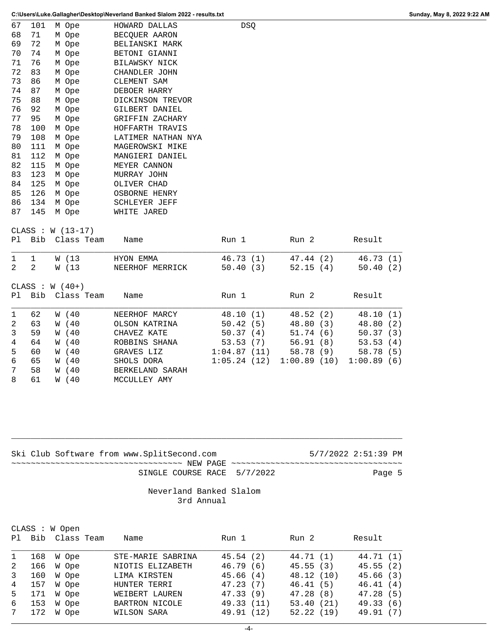7 58 W (40 BERKELAND SARAH<br>8 61 W (40 MCCULLEY AMY

MCCULLEY AMY

|                | C:\Users\Luke.Gallagher\Desktop\Neverland Banked Slalom 2022 - results.txt |                    |                      |             |             |            |  |  |  |
|----------------|----------------------------------------------------------------------------|--------------------|----------------------|-------------|-------------|------------|--|--|--|
| 67             | 101                                                                        | M Ope              | HOWARD DALLAS        | DSQ         |             |            |  |  |  |
| 68             | 71                                                                         | M Ope              | BECQUER AARON        |             |             |            |  |  |  |
| 69             | 72                                                                         | M Ope              | BELIANSKI MARK       |             |             |            |  |  |  |
| 70             | 74                                                                         | M Ope              | BETONI GIANNI        |             |             |            |  |  |  |
| 71             | 76                                                                         | M Ope              | BILAWSKY NICK        |             |             |            |  |  |  |
| 72             | 83                                                                         | M Ope              | CHANDLER JOHN        |             |             |            |  |  |  |
| 73             | 86                                                                         | M Ope              | CLEMENT SAM          |             |             |            |  |  |  |
| 74             | 87                                                                         | M Ope              | DEBOER HARRY         |             |             |            |  |  |  |
| 75             | 88                                                                         | M Ope              | DICKINSON TREVOR     |             |             |            |  |  |  |
| 76             | 92                                                                         | M Ope              | GILBERT DANIEL       |             |             |            |  |  |  |
| 77             | 95                                                                         | M Ope              | GRIFFIN ZACHARY      |             |             |            |  |  |  |
| 78             | 100                                                                        | M Ope              | HOFFARTH TRAVIS      |             |             |            |  |  |  |
| 79             | 108                                                                        | M Ope              | LATIMER NATHAN NYA   |             |             |            |  |  |  |
| 80             | 111                                                                        | M Ope              | MAGEROWSKI MIKE      |             |             |            |  |  |  |
| 81             | 112                                                                        | M Ope              | MANGIERI DANIEL      |             |             |            |  |  |  |
| 82             | 115                                                                        | M Ope              | MEYER CANNON         |             |             |            |  |  |  |
| 83             | 123                                                                        | M Ope              | MURRAY JOHN          |             |             |            |  |  |  |
| 84             | 125                                                                        | M Ope              | OLIVER CHAD          |             |             |            |  |  |  |
| 85             | 126                                                                        | M Ope              | OSBORNE HENRY        |             |             |            |  |  |  |
| 86             | 134                                                                        | M Ope              | <b>SCHLEYER JEFF</b> |             |             |            |  |  |  |
| 87             | 145                                                                        | M Ope              | WHITE JARED          |             |             |            |  |  |  |
|                |                                                                            | CLASS : $W(13-17)$ |                      |             |             |            |  |  |  |
| Pl             |                                                                            | Bib Class Team     | Name                 | Run 1       | Run 2       | Result     |  |  |  |
| $\mathbf{1}$   | $\mathbf{1}$                                                               | W (13              | HYON EMMA            | 46.73 (1)   | 47.44 (2)   | 46.73(1)   |  |  |  |
| 2              | 2                                                                          | W (13)             | NEERHOF MERRICK      | 50.40(3)    | 52.15(4)    | 50.40(2)   |  |  |  |
|                |                                                                            | CLASS : $W(40+)$   |                      |             |             |            |  |  |  |
| Pl             |                                                                            | Bib Class Team     | Name                 | Run 1       | Run 2       | Result     |  |  |  |
|                |                                                                            |                    |                      |             |             |            |  |  |  |
| $\mathbf{1}$   | 62                                                                         | W (40              | NEERHOF MARCY        | 48.10 (1)   | 48.52(2)    | 48.10(1)   |  |  |  |
| $\overline{c}$ | 63                                                                         | W (40              | OLSON KATRINA        | 50.42(5)    | 48.80(3)    | 48.80 (2)  |  |  |  |
| 3              | 59                                                                         | W (40              | CHAVEZ KATE          | 50.37(4)    | 51.74(6)    | 50.37(3)   |  |  |  |
| $\overline{4}$ | 64                                                                         | W (40              | ROBBINS SHANA        | 53.53(7)    | 56.91(8)    | 53.53(4)   |  |  |  |
| 5              | 60                                                                         | W (40              | GRAVES LIZ           | 1:04.87(11) | 58.78 (9)   | 58.78(5)   |  |  |  |
| 6              | 65                                                                         | W (40              | SHOLS DORA           | 1:05.24(12) | 1:00.89(10) | 1:00.89(6) |  |  |  |

|  |  | Ski Club Software from www.SplitSecond.com |  |                             | 5/7/2022 2:51:39 PM |        |  |
|--|--|--------------------------------------------|--|-----------------------------|---------------------|--------|--|
|  |  |                                            |  |                             |                     |        |  |
|  |  |                                            |  | SINGLE COURSE RACE 5/7/2022 |                     | Page 5 |  |
|  |  |                                            |  |                             |                     |        |  |

\_\_\_\_\_\_\_\_\_\_\_\_\_\_\_\_\_\_\_\_\_\_\_\_\_\_\_\_\_\_\_\_\_\_\_\_\_\_\_\_\_\_\_\_\_\_\_\_\_\_\_\_\_\_\_\_\_\_\_\_\_\_\_\_\_\_\_\_\_\_\_\_\_\_\_\_\_\_\_\_

## Neverland Banked Slalom 3rd Annual

|              |     | CLASS : W Open<br>Pl Bib Class Team | Name              | Run 1      | Run 2      | Result    |
|--------------|-----|-------------------------------------|-------------------|------------|------------|-----------|
| $\mathbf{1}$ | 168 | W Ope                               | STE-MARIE SABRINA | 45.54(2)   | 44.71 (1)  | 44.71 (1) |
| 2            | 166 | W Ope                               | NIOTIS ELIZABETH  | 46.79(6)   | 45.55(3)   | 45.55(2)  |
| $\mathbf{3}$ | 160 | W Ope                               | LIMA KIRSTEN      | 45.66(4)   | 48.12 (10) | 45.66(3)  |
| 4            | 157 | W Ope                               | HUNTER TERRI      | 47.23(7)   | 46.41(5)   | 46.41(4)  |
| 5            | 171 | W Ope                               | WEIBERT LAUREN    | 47.33(9)   | 47.28(8)   | 47.28(5)  |
| 6            | 153 | W Ope                               | BARTRON NICOLE    | 49.33 (11) | 53.40(21)  | 49.33(6)  |
| $7\degree$   | 172 | W Ope                               | WILSON SARA       | 49.91 (12) | 52.22(19)  | 49.91 (7) |